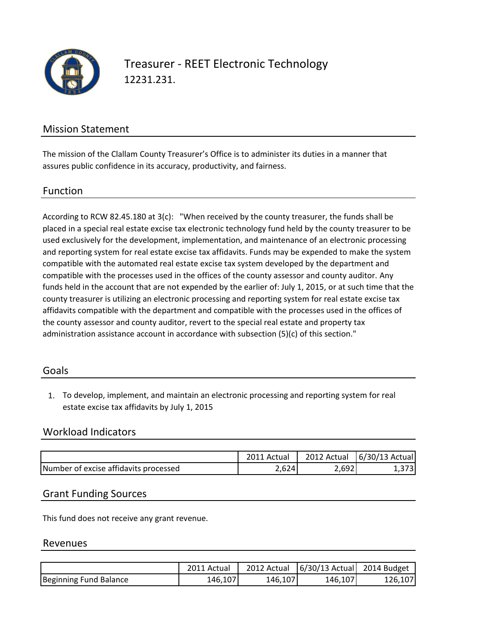

Treasurer - REET Electronic Technology 12231.231.

## Mission Statement

The mission of the Clallam County Treasurer's Office is to administer its duties in a manner that assures public confidence in its accuracy, productivity, and fairness.

#### Function

According to RCW 82.45.180 at 3(c): "When received by the county treasurer, the funds shall be placed in a special real estate excise tax electronic technology fund held by the county treasurer to be used exclusively for the development, implementation, and maintenance of an electronic processing and reporting system for real estate excise tax affidavits. Funds may be expended to make the system compatible with the automated real estate excise tax system developed by the department and compatible with the processes used in the offices of the county assessor and county auditor. Any funds held in the account that are not expended by the earlier of: July 1, 2015, or at such time that the county treasurer is utilizing an electronic processing and reporting system for real estate excise tax affidavits compatible with the department and compatible with the processes used in the offices of the county assessor and county auditor, revert to the special real estate and property tax administration assistance account in accordance with subsection (5)(c) of this section."

#### Goals

1. To develop, implement, and maintain an electronic processing and reporting system for real estate excise tax affidavits by July 1, 2015

## Workload Indicators

|                                       | 2011 Actual | 2012 Actual | $ 6/30/13$ Actual |
|---------------------------------------|-------------|-------------|-------------------|
| Number of excise affidavits processed | 2.624       | 2.692       |                   |

#### Grant Funding Sources

This fund does not receive any grant revenue.

#### Revenues

|                        | 2011 Actual | 2012 Actual | $ 6/30/13$ Actual 2014 Budget |         |
|------------------------|-------------|-------------|-------------------------------|---------|
| Beginning Fund Balance | 146.107     | 146.107     | 146.107                       | 126,107 |